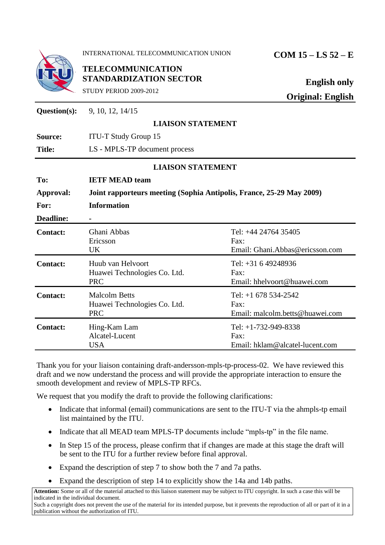|                  | INTERNATIONAL TELECOMMUNICATION UNION                                               | $COM 15 - LS 52 - E$                                              |
|------------------|-------------------------------------------------------------------------------------|-------------------------------------------------------------------|
|                  | <b>TELECOMMUNICATION</b><br><b>STANDARDIZATION SECTOR</b><br>STUDY PERIOD 2009-2012 | <b>English only</b><br><b>Original: English</b>                   |
| Question(s):     | 9, 10, 12, 14/15                                                                    |                                                                   |
|                  | <b>LIAISON STATEMENT</b>                                                            |                                                                   |
| Source:          | <b>ITU-T Study Group 15</b>                                                         |                                                                   |
| <b>Title:</b>    | LS - MPLS-TP document process                                                       |                                                                   |
|                  | <b>LIAISON STATEMENT</b>                                                            |                                                                   |
| To:              | <b>IETF MEAD team</b>                                                               |                                                                   |
| Approval:        | Joint rapporteurs meeting (Sophia Antipolis, France, 25-29 May 2009)                |                                                                   |
| For:             | <b>Information</b>                                                                  |                                                                   |
| <b>Deadline:</b> | $\blacksquare$                                                                      |                                                                   |
| <b>Contact:</b>  | Ghani Abbas<br>Ericsson<br>UK                                                       | Tel: +44 24764 35405<br>Fax:<br>Email: Ghani.Abbas@ericsson.com   |
| <b>Contact:</b>  | Huub van Helvoort<br>Huawei Technologies Co. Ltd.<br><b>PRC</b>                     | Tel: +31 6 49248936<br>Fax:<br>Email: hhelvoort@huawei.com        |
| <b>Contact:</b>  | <b>Malcolm Betts</b><br>Huawei Technologies Co. Ltd.<br><b>PRC</b>                  | Tel: $+1$ 678 534-2542<br>Fax:<br>Email: malcolm.betts@huawei.com |
| <b>Contact:</b>  | Hing-Kam Lam<br>Alcatel-Lucent<br><b>USA</b>                                        | Tel: +1-732-949-8338<br>Fax:<br>Email: hklam@alcatel-lucent.com   |

Thank you for your liaison containing draft-andersson-mpls-tp-process-02. We have reviewed this draft and we now understand the process and will provide the appropriate interaction to ensure the smooth development and review of MPLS-TP RFCs.

We request that you modify the draft to provide the following clarifications:

- Indicate that informal (email) communications are sent to the ITU-T via the ahmpls-tp email list maintained by the ITU.
- Indicate that all MEAD team MPLS-TP documents include "mpls-tp" in the file name.
- In Step 15 of the process, please confirm that if changes are made at this stage the draft will be sent to the ITU for a further review before final approval.
- Expand the description of step 7 to show both the 7 and 7a paths.
- Expand the description of step 14 to explicitly show the 14a and 14b paths.

**Attention:** Some or all of the material attached to this liaison statement may be subject to ITU copyright. In such a case this will be indicated in the individual document.

Such a copyright does not prevent the use of the material for its intended purpose, but it prevents the reproduction of all or part of it in a publication without the authorization of ITU.